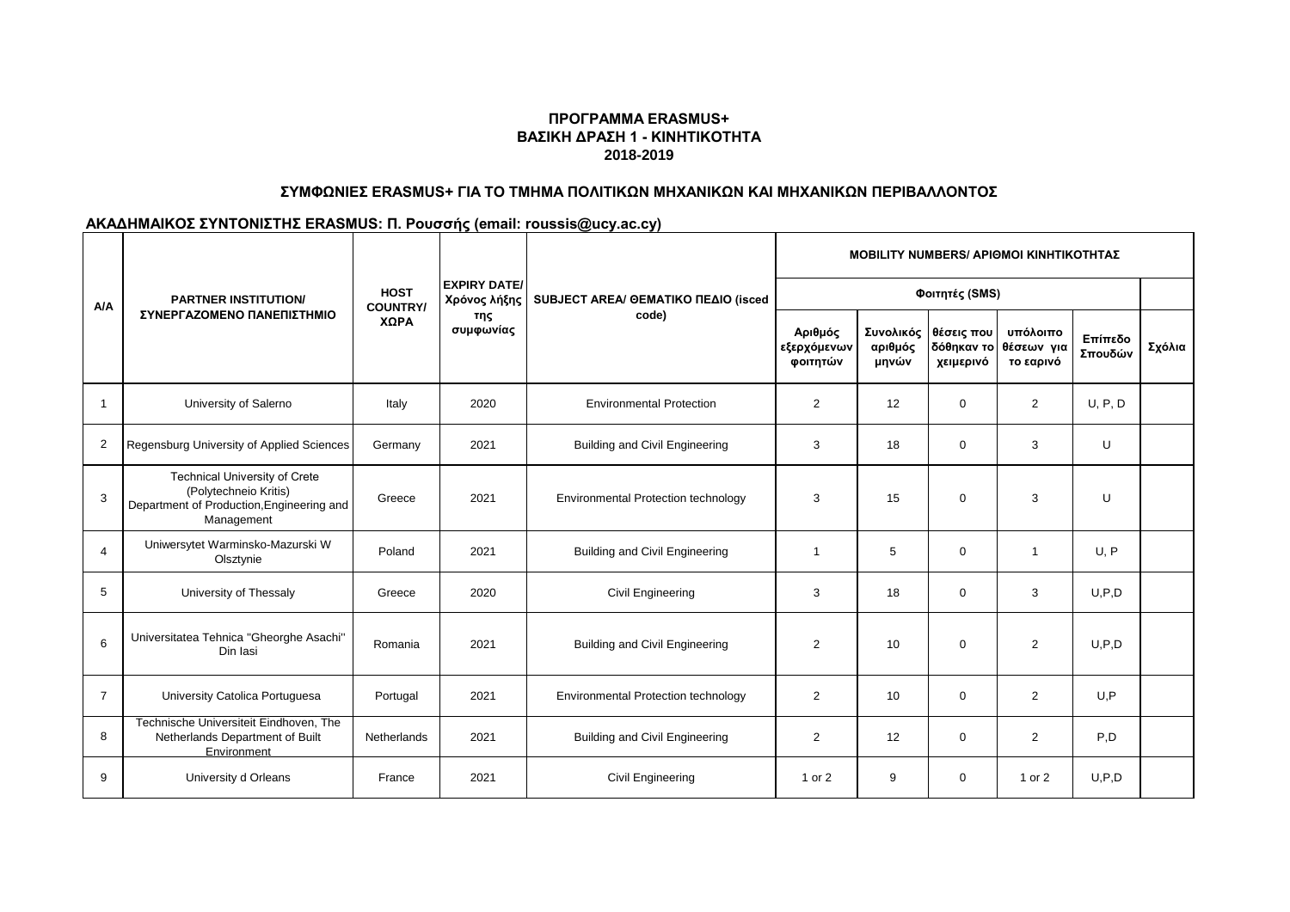### **ΠΡΟΓΡΑΜΜΑ ERASMUS+ ΒΑΣΙΚΗ ΔΡΑΣΗ 1 - ΚΙΝΗΤΙΚΟΤΗΤΑ 2018-2019**

# **ΣΥΜΦΩΝΙΕΣ ERASMUS+ ΓΙΑ ΤΟ ΤΜΗΜΑ ΠΟΛΙΤΙΚΩΝ ΜΗΧΑΝΙΚΩΝ ΚΑΙ ΜΗΧΑΝΙΚΩΝ ΠΕΡΙΒΑΛΛΟΝΤΟΣ**

#### **ΑΚΑΔΗΜΑΙΚΟΣ ΣΥΝΤΟΝΙΣΤΗΣ ERASMUS: Π. Ρουσσής (email: roussis@ucy.ac.cy)**

| A/A            | <b>PARTNER INSTITUTION/</b><br>ΣΥΝΕΡΓΑΖΟΜΕΝΟ ΠΑΝΕΠΙΣΤΗΜΙΟ                                                                | <b>HOST</b><br><b>COUNTRY/</b> | <b>EXPIRY DATE/</b><br>Χρόνος λήξης | SUBJECT AREA/ GEMATIKO ΠΕΔΙΟ (isced<br>code) | <b>MOBILITY NUMBERS/ APIOMOI KINHTIKOTHTAZ</b> |                  |                                   |                                                |                    |        |
|----------------|--------------------------------------------------------------------------------------------------------------------------|--------------------------------|-------------------------------------|----------------------------------------------|------------------------------------------------|------------------|-----------------------------------|------------------------------------------------|--------------------|--------|
|                |                                                                                                                          |                                |                                     |                                              | Φοιτητές (SMS)                                 |                  |                                   |                                                |                    |        |
|                |                                                                                                                          | ΧΩΡΑ                           | της<br>συμφωνίας                    |                                              | Αριθμός<br>εξερχόμενων<br>φοιτητών             | αριθμός<br>μηνών | Συνολικός θέσεις που<br>χειμερινό | υπόλοιπο<br>δόθηκαν το θέσεων για<br>το εαρινό | Επίπεδο<br>Σπουδών | Σχόλια |
| $\mathbf 1$    | University of Salerno                                                                                                    | Italy                          | 2020                                | <b>Environmental Protection</b>              | 2                                              | 12               | $\mathbf{0}$                      | $\overline{2}$                                 | U, P, D            |        |
| 2              | Regensburg University of Applied Sciences                                                                                | Germany                        | 2021                                | <b>Building and Civil Engineering</b>        | 3                                              | 18               | $\mathbf 0$                       | 3                                              | U                  |        |
| 3              | <b>Technical University of Crete</b><br>(Polytechneio Kritis)<br>Department of Production, Engineering and<br>Management | Greece                         | 2021                                | Environmental Protection technology          | 3                                              | 15               | $\mathbf 0$                       | 3                                              | U                  |        |
| $\overline{4}$ | Uniwersytet Warminsko-Mazurski W<br>Olsztynie                                                                            | Poland                         | 2021                                | <b>Building and Civil Engineering</b>        | $\mathbf{1}$                                   | 5                | $\mathbf{0}$                      | 1                                              | U. P               |        |
| 5              | University of Thessaly                                                                                                   | Greece                         | 2020                                | Civil Engineering                            | 3                                              | 18               | $\mathbf{0}$                      | 3                                              | U, P, D            |        |
| 6              | Universitatea Tehnica "Gheorghe Asachi"<br>Din lasi                                                                      | Romania                        | 2021                                | <b>Building and Civil Engineering</b>        | 2                                              | 10               | $\mathbf 0$                       | $\overline{2}$                                 | U, P, D            |        |
| $\overline{7}$ | University Catolica Portuguesa                                                                                           | Portugal                       | 2021                                | Environmental Protection technology          | 2                                              | 10               | $\mathbf{0}$                      | $\overline{2}$                                 | U.P                |        |
| 8              | Technische Universiteit Eindhoven, The<br>Netherlands Department of Built<br>Environment                                 | Netherlands                    | 2021                                | <b>Building and Civil Engineering</b>        | $\overline{2}$                                 | 12               | $\mathbf{0}$                      | $\overline{2}$                                 | P,D                |        |
| 9              | University d Orleans                                                                                                     | France                         | 2021                                | Civil Engineering                            | 1 or 2                                         | 9                | $\Omega$                          | 1 or 2                                         | U.P.D              |        |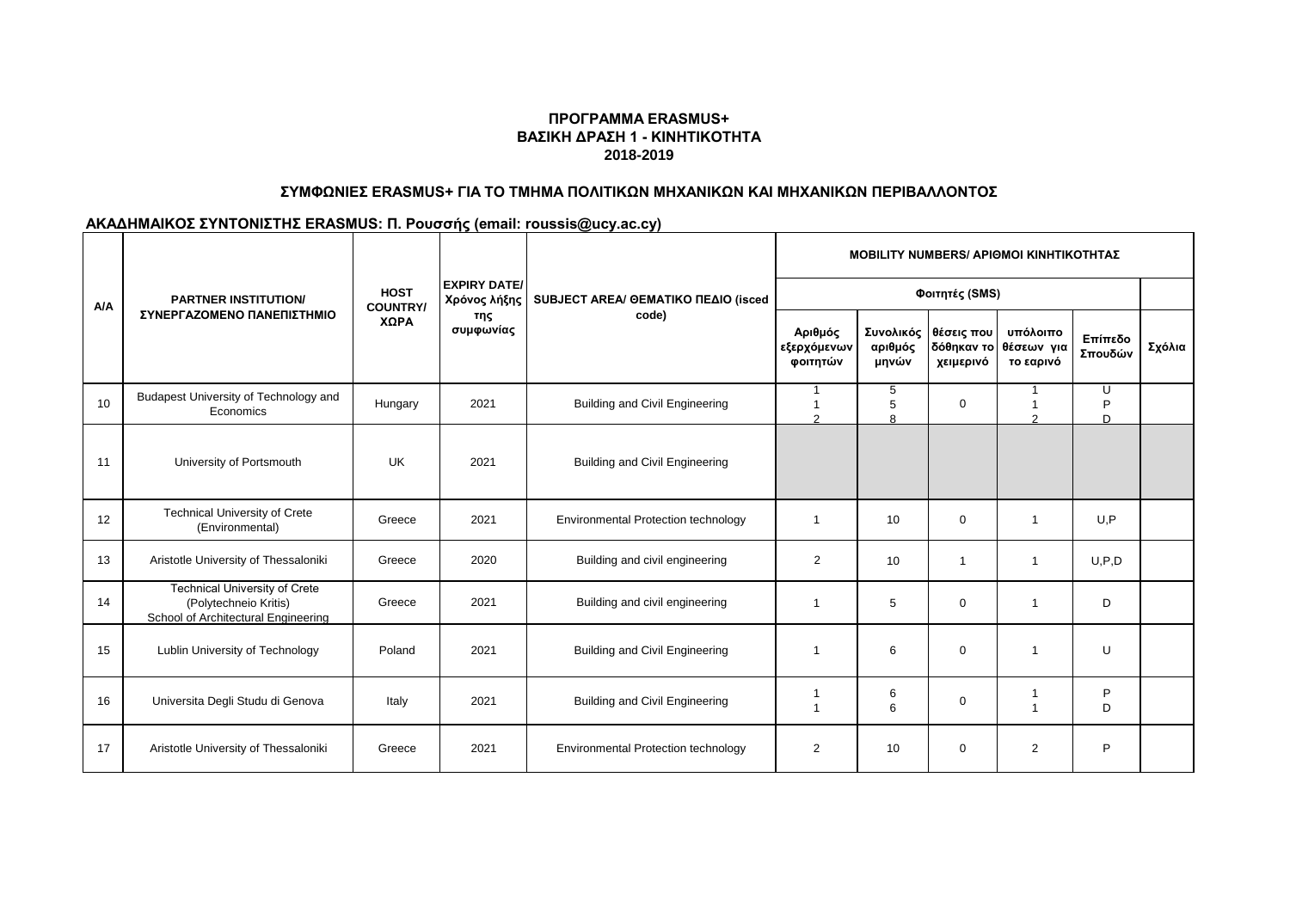## **ΠΡΟΓΡΑΜΜΑ ERASMUS+ ΒΑΣΙΚΗ ΔΡΑΣΗ 1 - ΚΙΝΗΤΙΚΟΤΗΤΑ 2018-2019**

# **ΣΥΜΦΩΝΙΕΣ ERASMUS+ ΓΙΑ ΤΟ ΤΜΗΜΑ ΠΟΛΙΤΙΚΩΝ ΜΗΧΑΝΙΚΩΝ ΚΑΙ ΜΗΧΑΝΙΚΩΝ ΠΕΡΙΒΑΛΛΟΝΤΟΣ**

## **ΑΚΑΔΗΜΑΙΚΟΣ ΣΥΝΤΟΝΙΣΤΗΣ ERASMUS: Π. Ρουσσής (email: roussis@ucy.ac.cy)**

| A/A | <b>PARTNER INSTITUTION/</b><br>ΣΥΝΕΡΓΑΖΟΜΕΝΟ ΠΑΝΕΠΙΣΤΗΜΙΟ                                            | <b>HOST</b><br><b>COUNTRY/</b> | <b>EXPIRY DATE/</b><br>Χρόνος λήξης<br>της<br>συμφωνίας | SUBJECT AREA/ GEMATIKO ΠΕΔΙΟ (isced<br>code) | <b>MOBILITY NUMBERS/ APIOMOI KINHTIKOTHTAΣ</b> |                  |                                   |                                                |                    |        |
|-----|------------------------------------------------------------------------------------------------------|--------------------------------|---------------------------------------------------------|----------------------------------------------|------------------------------------------------|------------------|-----------------------------------|------------------------------------------------|--------------------|--------|
|     |                                                                                                      |                                |                                                         |                                              | Φοιτητές (SMS)                                 |                  |                                   |                                                |                    |        |
|     |                                                                                                      | ΧΩΡΑ                           |                                                         |                                              | Αριθμός<br>εξερχόμενων<br>φοιτητών             | αριθμός<br>μηνών | Συνολικός θέσεις που<br>χειμερινό | υπόλοιπο<br>δόθηκαν το θέσεων για<br>το εαρινό | Επίπεδο<br>Σπουδών | Σχόλια |
| 10  | Budapest University of Technology and<br>Economics                                                   | Hungary                        | 2021                                                    | <b>Building and Civil Engineering</b>        | $\mathcal{P}$                                  | 5<br>5<br>8      | $\mathbf 0$                       | 1<br>1<br>$\mathcal{D}$                        | u<br>P<br>D.       |        |
| 11  | University of Portsmouth                                                                             | <b>UK</b>                      | 2021                                                    | <b>Building and Civil Engineering</b>        |                                                |                  |                                   |                                                |                    |        |
| 12  | <b>Technical University of Crete</b><br>(Environmental)                                              | Greece                         | 2021                                                    | Environmental Protection technology          | 1                                              | 10               | $\mathbf 0$                       | $\mathbf{1}$                                   | U, P               |        |
| 13  | Aristotle University of Thessaloniki                                                                 | Greece                         | 2020                                                    | Building and civil engineering               | $\overline{2}$                                 | 10               | $\overline{1}$                    | 1                                              | U, P, D            |        |
| 14  | <b>Technical University of Crete</b><br>(Polytechneio Kritis)<br>School of Architectural Engineering | Greece                         | 2021                                                    | Building and civil engineering               | 1                                              | 5                | $\mathbf 0$                       | $\mathbf{1}$                                   | D                  |        |
| 15  | Lublin University of Technology                                                                      | Poland                         | 2021                                                    | <b>Building and Civil Engineering</b>        | $\overline{1}$                                 | 6                | $\mathbf 0$                       | $\mathbf{1}$                                   | U                  |        |
| 16  | Universita Degli Studu di Genova                                                                     | Italy                          | 2021                                                    | <b>Building and Civil Engineering</b>        | 1                                              | 6<br>6           | $\mathbf 0$                       | $\mathbf{1}$                                   | P<br>D             |        |
| 17  | Aristotle University of Thessaloniki                                                                 | Greece                         | 2021                                                    | Environmental Protection technology          | $\overline{2}$                                 | 10               | $\mathbf 0$                       | $\overline{2}$                                 | P                  |        |